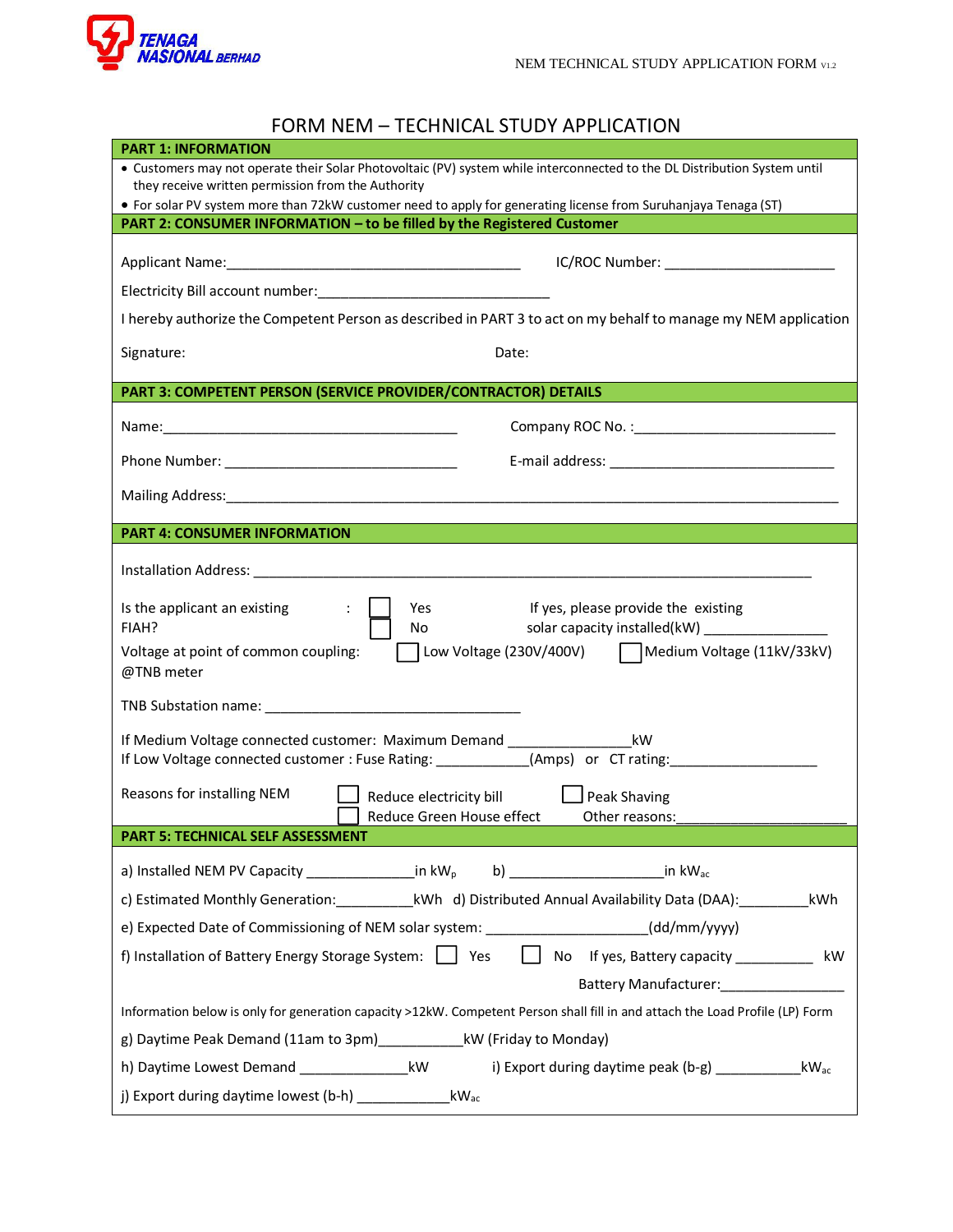

## FORM NEM – TECHNICAL STUDY APPLICATION

| <b>PART 1: INFORMATION</b>                                                                                                                                                                   |  |  |
|----------------------------------------------------------------------------------------------------------------------------------------------------------------------------------------------|--|--|
| • Customers may not operate their Solar Photovoltaic (PV) system while interconnected to the DL Distribution System until<br>they receive written permission from the Authority              |  |  |
| • For solar PV system more than 72kW customer need to apply for generating license from Suruhanjaya Tenaga (ST)                                                                              |  |  |
| PART 2: CONSUMER INFORMATION - to be filled by the Registered Customer                                                                                                                       |  |  |
| IC/ROC Number: _______________________                                                                                                                                                       |  |  |
|                                                                                                                                                                                              |  |  |
| I hereby authorize the Competent Person as described in PART 3 to act on my behalf to manage my NEM application                                                                              |  |  |
| Signature:<br>Date:                                                                                                                                                                          |  |  |
| PART 3: COMPETENT PERSON (SERVICE PROVIDER/CONTRACTOR) DETAILS                                                                                                                               |  |  |
|                                                                                                                                                                                              |  |  |
|                                                                                                                                                                                              |  |  |
|                                                                                                                                                                                              |  |  |
| <b>PART 4: CONSUMER INFORMATION</b>                                                                                                                                                          |  |  |
|                                                                                                                                                                                              |  |  |
| Is the applicant an existing<br>If yes, please provide the existing<br>$\div$<br>Yes<br>solar capacity installed(kW) ___________________<br>FIAH?<br>No                                      |  |  |
| Low Voltage (230V/400V)   Medium Voltage (11kV/33kV)<br>Voltage at point of common coupling:<br>@TNB meter                                                                                   |  |  |
| TNB Substation name: TNB Substation name:                                                                                                                                                    |  |  |
| If Medium Voltage connected customer: Maximum Demand _______________________kW<br>If Low Voltage connected customer : Fuse Rating: ____________(Amps) or CT rating: ________________________ |  |  |
| Reasons for installing NEM<br>Reduce electricity bill <b>Source</b> Peak Shaving<br>Reduce Green House effect<br>Other reasons:                                                              |  |  |
| <b>PART 5: TECHNICAL SELF ASSESSMENT</b>                                                                                                                                                     |  |  |
| a) Installed NEM PV Capacity ________________in kW <sub>p</sub> b) _______________________in kW <sub>ac</sub>                                                                                |  |  |
| c) Estimated Monthly Generation:______________kWh d) Distributed Annual Availability Data (DAA):__________kWh                                                                                |  |  |
| e) Expected Date of Commissioning of NEM solar system: ___________________(dd/mm/yyyy)                                                                                                       |  |  |
| No If yes, Battery capacity ___________ kW<br>f) Installation of Battery Energy Storage System: The Yes<br>Battery Manufacturer: Manufacturer And Manuscript                                 |  |  |
| Information below is only for generation capacity >12kW. Competent Person shall fill in and attach the Load Profile (LP) Form                                                                |  |  |
| g) Daytime Peak Demand (11am to 3pm)_______________kW (Friday to Monday)                                                                                                                     |  |  |
| h) Daytime Lowest Demand _____________________kW<br>i) Export during daytime peak (b-g) ____________<br>$kW_{ac}$                                                                            |  |  |
| j) Export during daytime lowest (b-h) _____________<br>$kW_{ac}$                                                                                                                             |  |  |